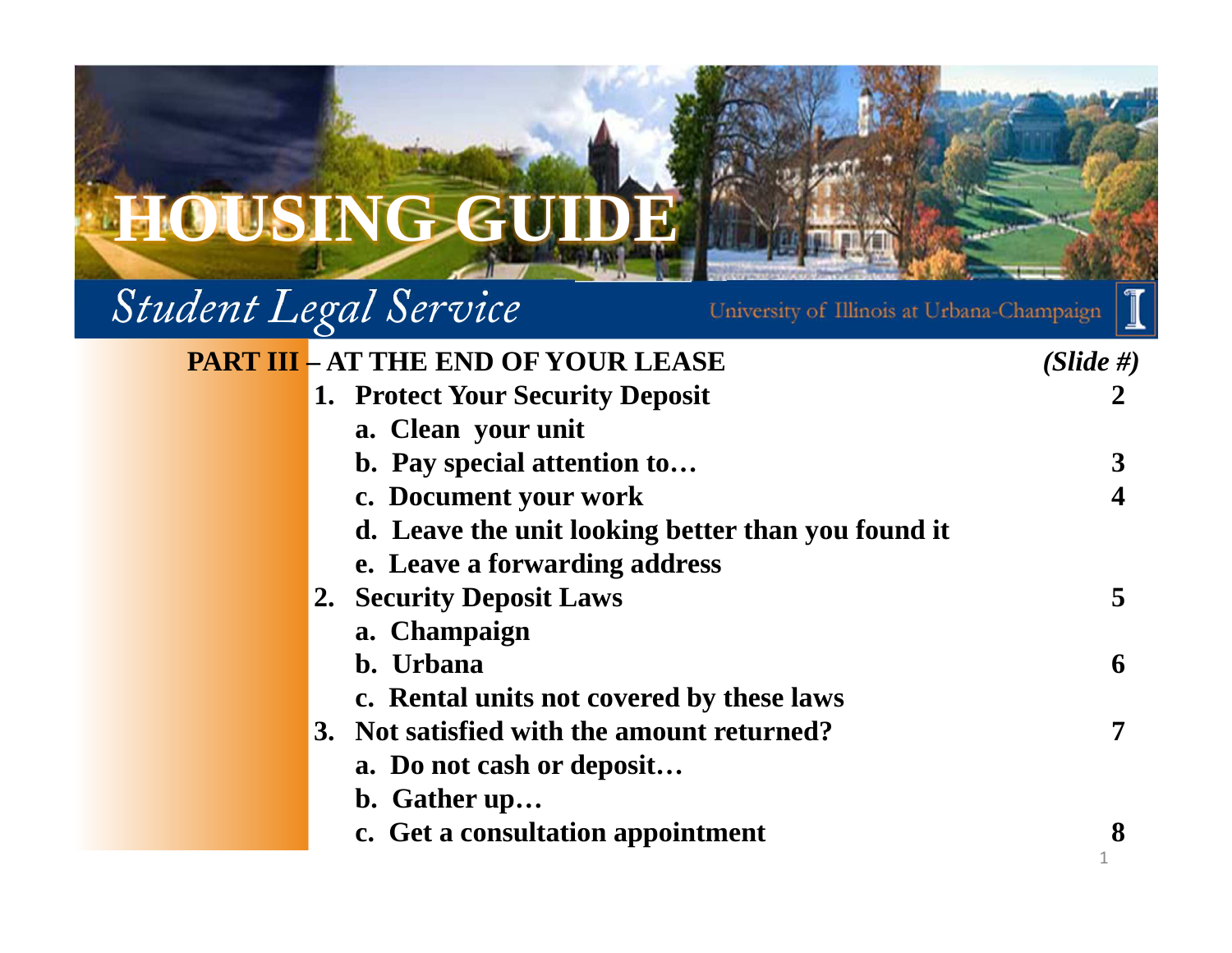

# *Student Legal Service*

University of Illinois at Urbana-Champaign

| <b>PART III - AT THE END OF YOUR LEASE</b>         | $(Slide \#)$ |
|----------------------------------------------------|--------------|
| 1. Protect Your Security Deposit                   |              |
| a. Clean your unit                                 |              |
| b. Pay special attention to                        |              |
| c. Document your work                              |              |
| d. Leave the unit looking better than you found it |              |
| e. Leave a forwarding address                      |              |
| 2. Security Deposit Laws                           | 5            |
| a. Champaign                                       |              |
| b. Urbana                                          | 6            |
| c. Rental units not covered by these laws          |              |
| 3. Not satisfied with the amount returned?         |              |
| a. Do not cash or deposit                          |              |
| b. Gather up                                       |              |
| c. Get a consultation appointment                  |              |
|                                                    |              |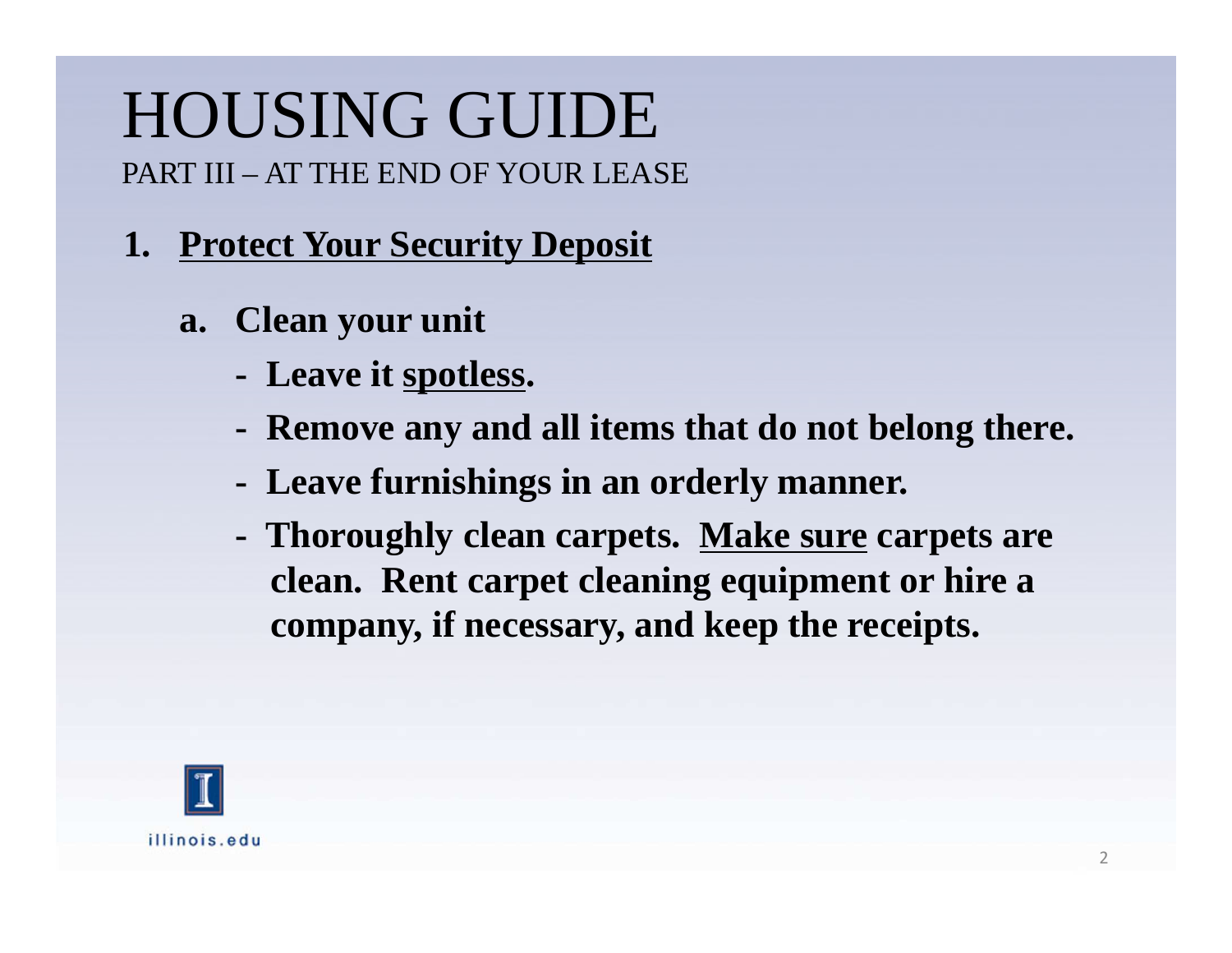#### **1. Protect Your Security Deposit**

- **a. Clean your unit**
	- **- Leave it spotless.**
	- **- Remove any and all items that do not belong there.**
	- **- Leave furnishings in an orderly manner.**
	- **- Thoroughly clean carpets. Make sure carpets are clean. Rent carpet cleaning equipment or hire a company, if necessary, and keep the receipts.**

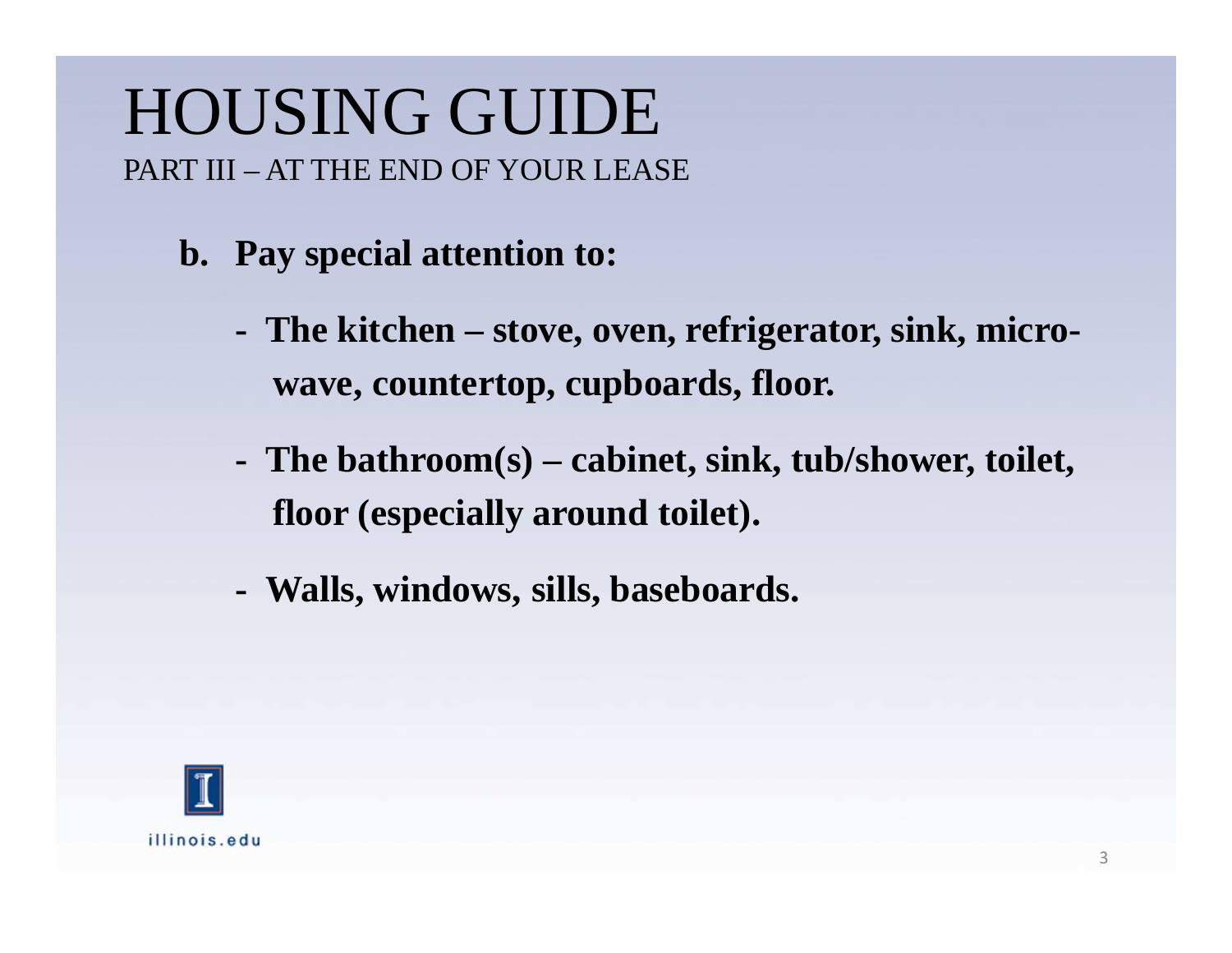- **b. Pay special attention to:**
	- **The kitchen – stove, oven, refrigerator, sink, microwave, countertop, cupboards, floor.**
	- **- The bathroom(s) – cabinet, sink, tub/shower, toilet, floor (especially around toilet).**
	- **- Walls, windows, sills, baseboards.**

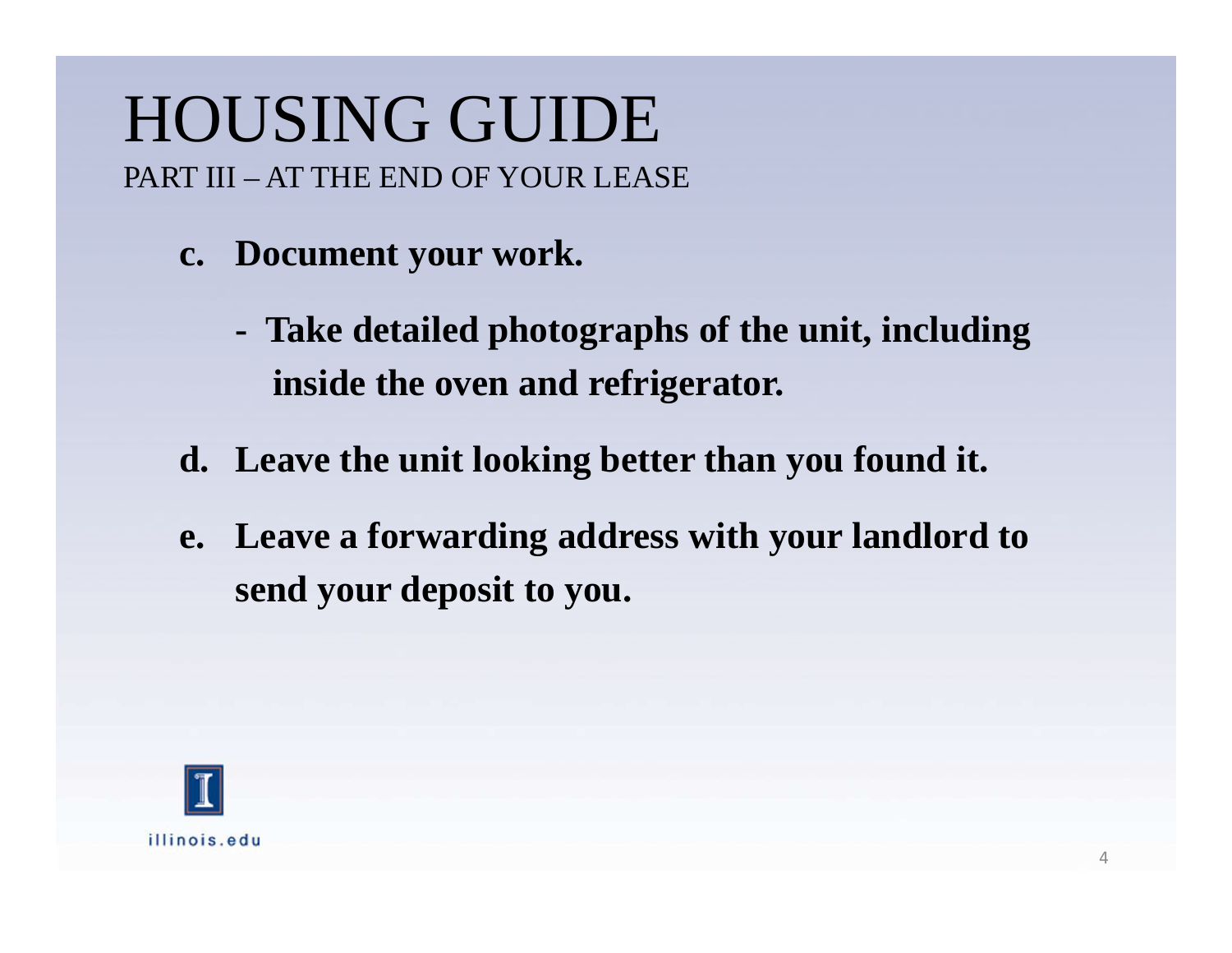- **c. Document your work.**
	- **Take detailed photographs of the unit, includinginside the oven and refrigerator.**
- **d. Leave the unit looking better than you found it.**
- **e. Leave a forwarding address with your landlord tosend your deposit to you.**

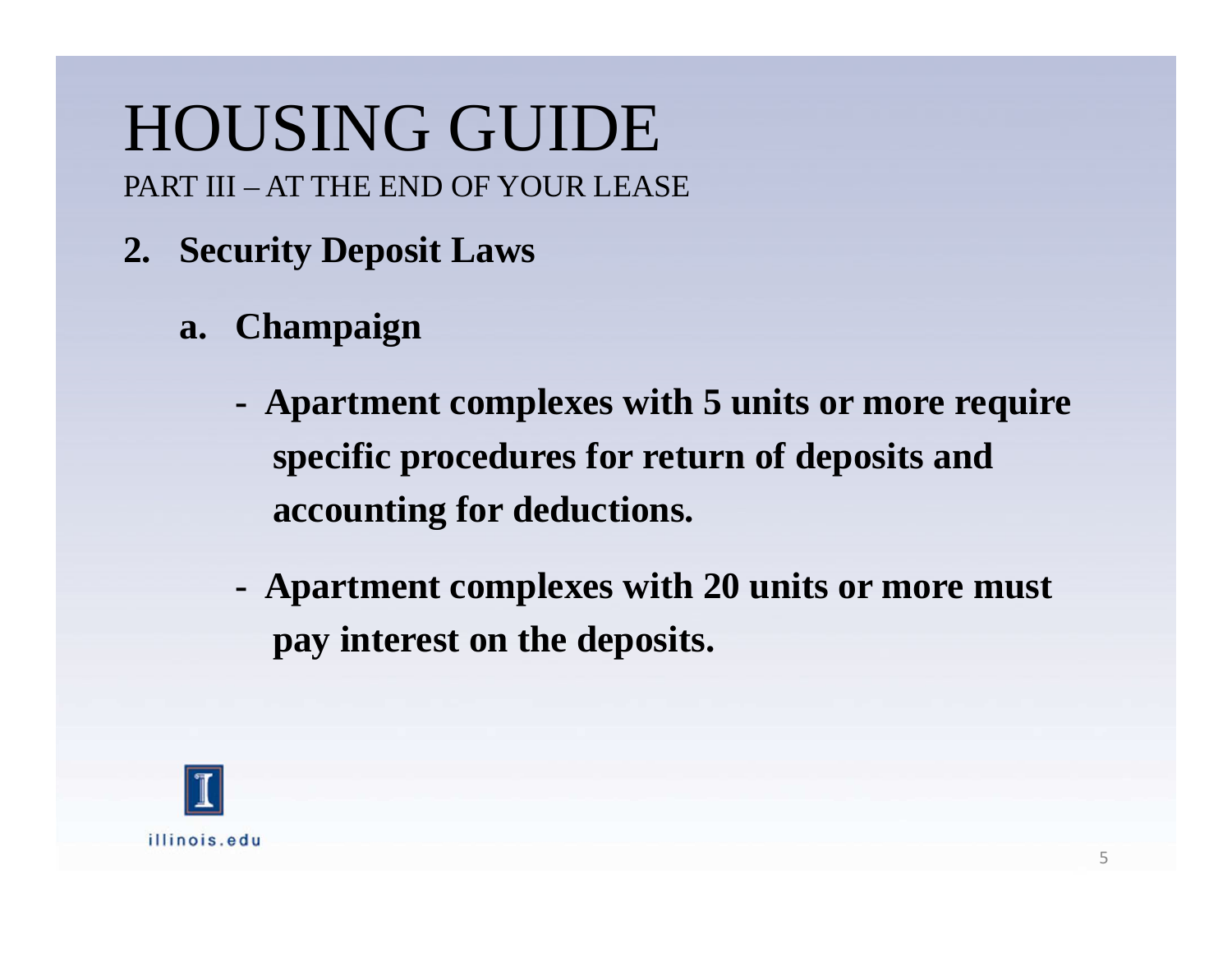- **2. Security Deposit Laws**
	- **a. Champaign**
		- **- Apartment complexes with 5 units or more requirespecific procedures for return of deposits andaccounting for deductions.**
		- **Apartment complexes with 20 units or more mustpay interest on the deposits.**

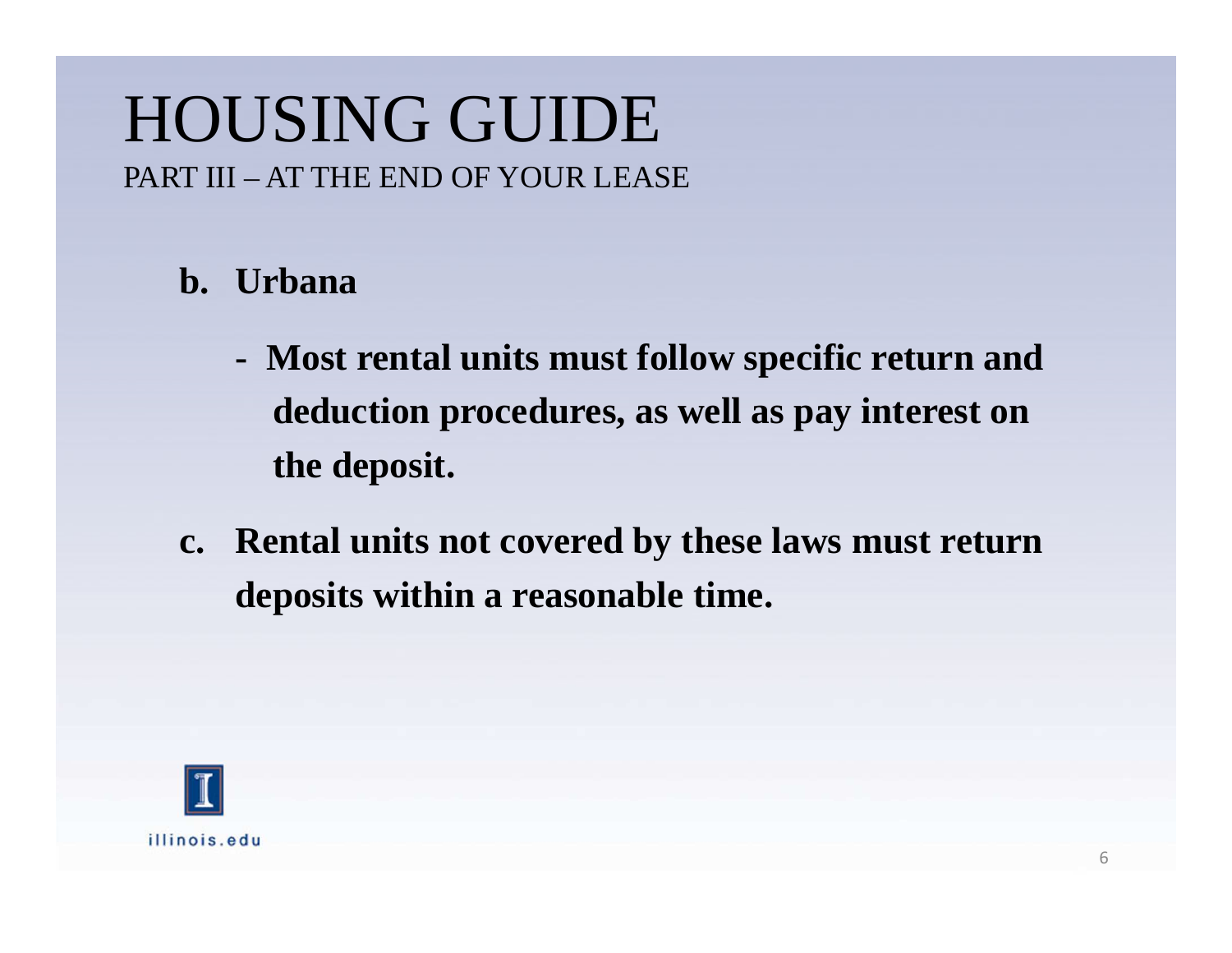#### **b. Urbana**

- **Most rental units must follow specific return anddeduction procedures, as well as pay interest onthe deposit.**
- **c. Rental units not covered by these laws must returndeposits within a reasonable time.**

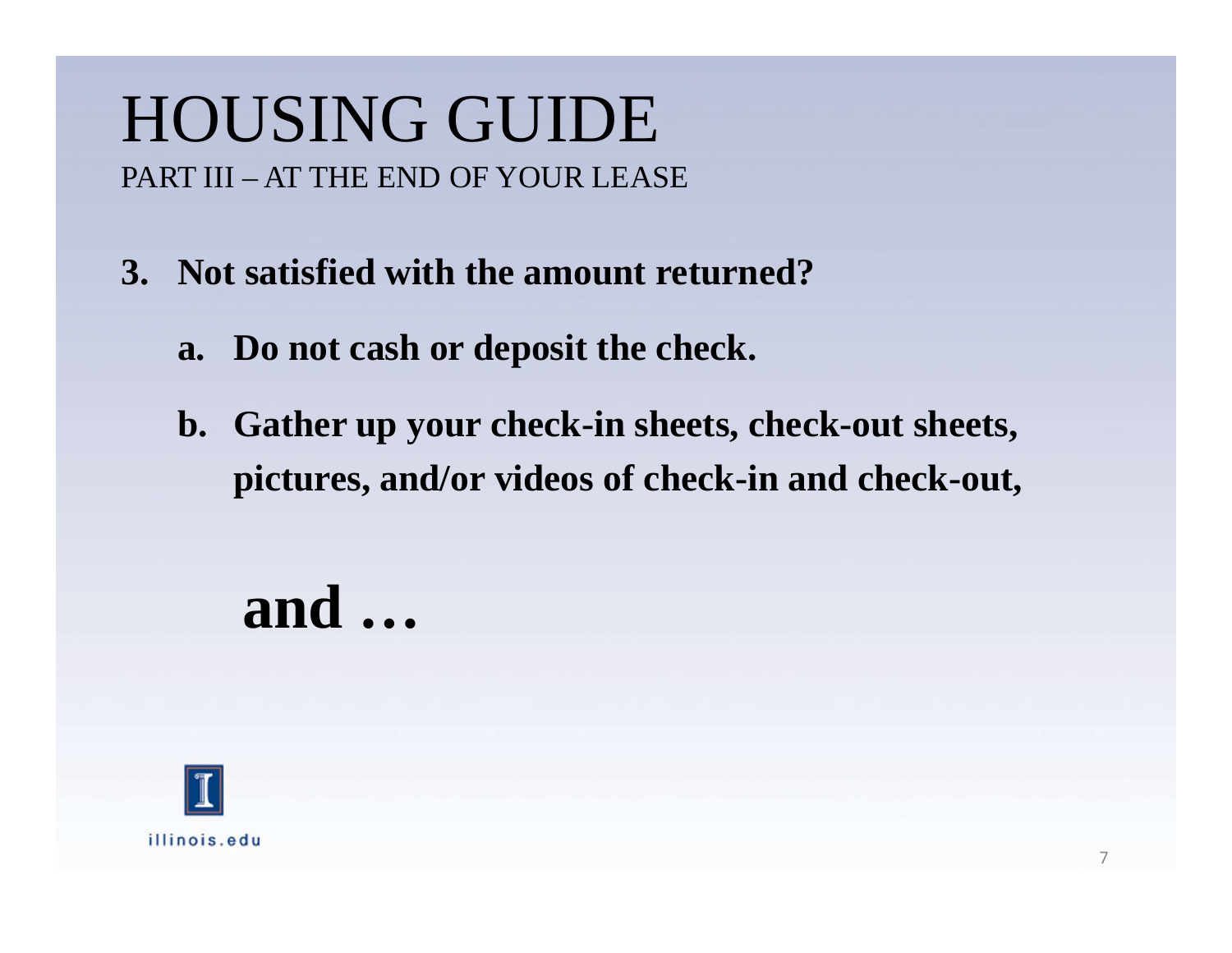- **3. Not satisfied with the amount returned?**
	- **a. Do not cash or deposit the check.**
	- **b. Gather up your check-in sheets, check-out sheets, pictures, and/or videos of check-in and check-out,**

**and …**

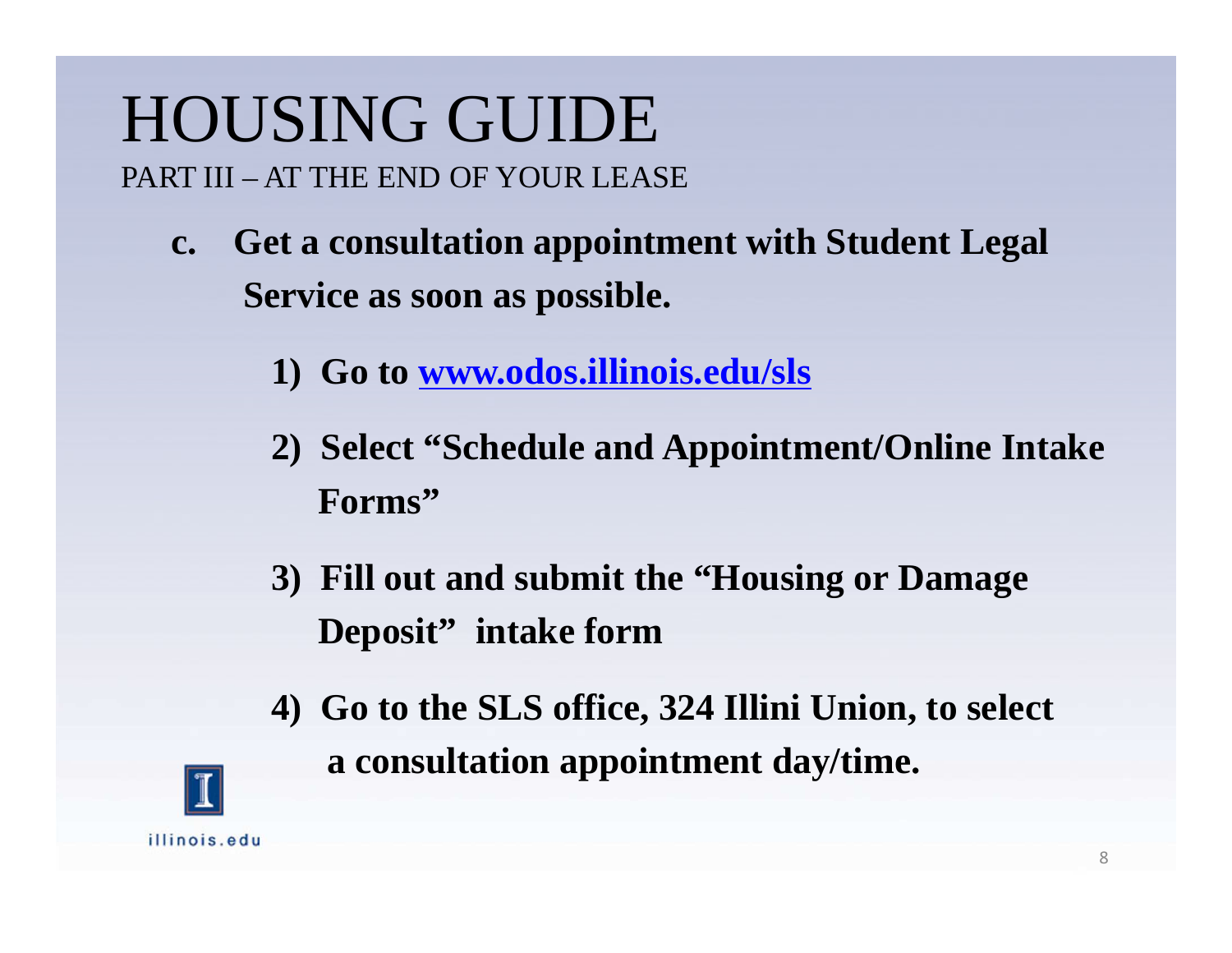- **c. Get a consultation appointment with Student LegalService as soon as possible.**
	- **1) Go to www.odos.illinois.edu/sls**
	- **2) Select "Schedule and Appointment/Online IntakeForms"**
	- **3) Fill out and submit the "Housing or Damage Deposit" intake form**
	- **4) Go to the SLS office, 324 Illini Union, to selecta consultation appointment day/time.**